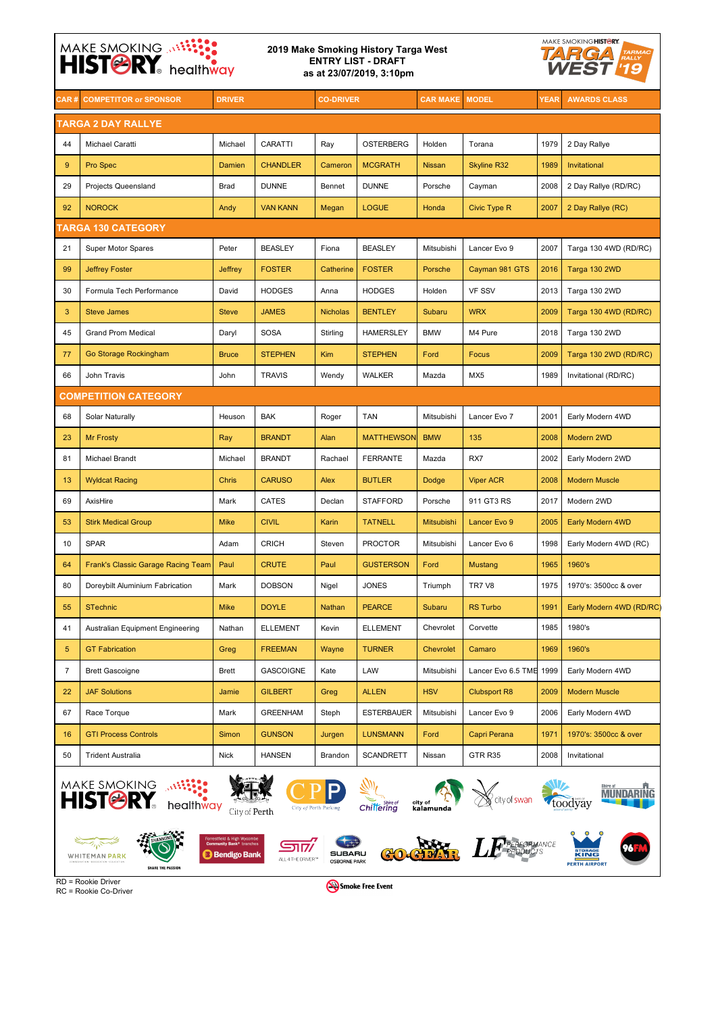## MAKE SMOKING ANNELLES MAKE SMOKING HISTORY. **2019 Make Smoking History Targa West TARGA ENTRY LIST - DRAFT as at 23/07/2019, 3:10pm CAR # COMPETITOR or SPONSOR DRIVER CO-DRIVER CAR MAKE MODEL YEAR AWARDS CLASS**



RC = Rookie Co-Driver

Smoke Free Event